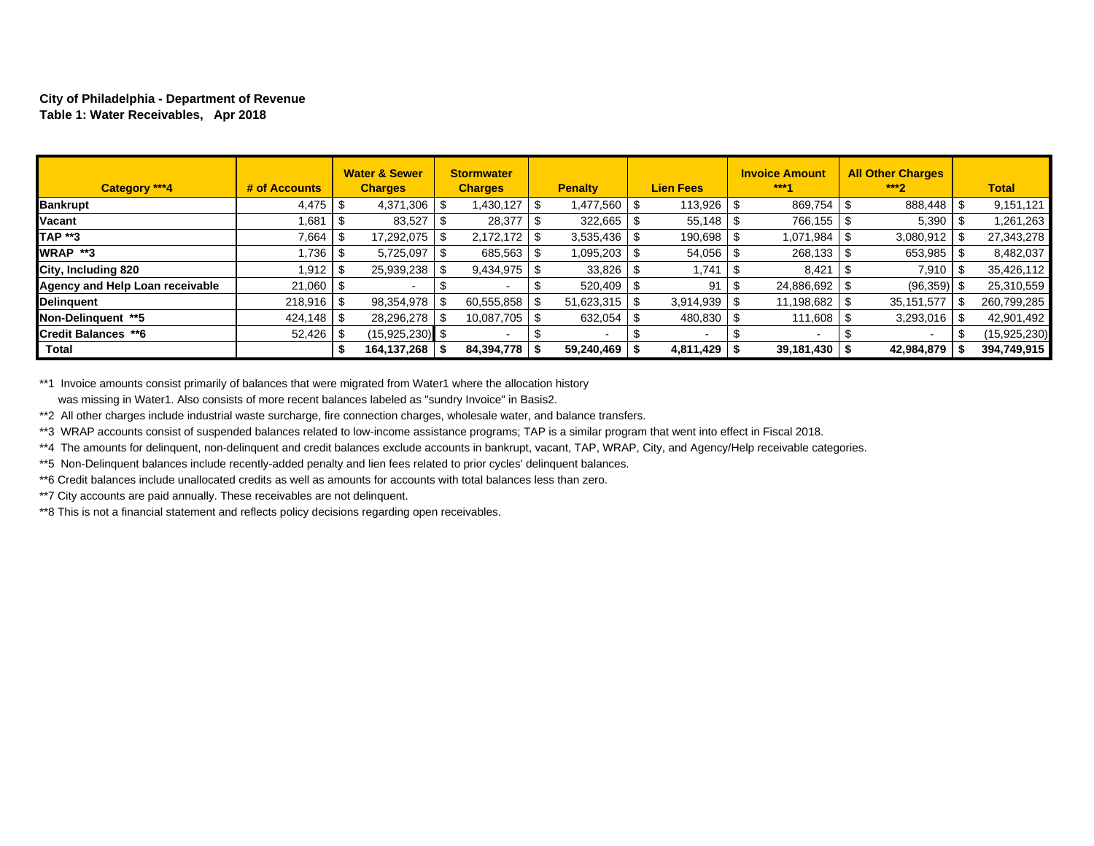#### **City of Philadelphia - Department of Revenue Table 1: Water Receivables, Apr 2018**

| Category ***4                   | # of Accounts |      | <b>Water &amp; Sewer</b><br><b>Charges</b> | <b>Stormwater</b><br><b>Charges</b> |    | <b>Penalty</b> |      | <b>Lien Fees</b> | <b>Invoice Amount</b><br>$***4$ | <b>All Other Charges</b><br>$***2$ |   | <b>Total</b>   |
|---------------------------------|---------------|------|--------------------------------------------|-------------------------------------|----|----------------|------|------------------|---------------------------------|------------------------------------|---|----------------|
| <b>Bankrupt</b>                 |               |      | 4,371,306                                  | 1,430,127                           |    | 1,477,560      | - \$ | 113,926          | 869,754                         | 888,448                            | £ | 9,151,121      |
| Vacant                          | .681          | - \$ | 83,527                                     | 28,377                              |    | 322,665        | - \$ | $55,148$ \ \$    | 766,155                         | 5,390                              |   | 1,261,263      |
| <b>TAP **3</b>                  | 7,664         | - \$ | 17,292,075                                 | 2,172,172                           | -S | 3,535,436      | - \$ | 190,698          | 1,071,984                       | 3,080,912                          |   | 27,343,278     |
| WRAP **3                        | .736          | l S  | 5,725,097                                  | 685,563                             |    | 1,095,203      | - \$ | 54,056           | 268,133                         | 653,985                            |   | 8,482,037      |
| City, Including 820             | 1.912 S       |      | 25,939,238                                 | 9,434,975                           |    | 33,826         | - \$ | 1,741            | 8,421                           | 7,910                              | 8 | 35,426,112     |
| Agency and Help Loan receivable | $21,060$   \$ |      |                                            |                                     |    | 520,409        | - \$ | 91               | 24,886,692                      | $(96,359)$ \$                      |   | 25,310,559     |
| Delinquent                      |               |      | 98,354,978                                 | 60,555,858                          |    | 51,623,315     | \$   | 3,914,939        | 11,198,682                      | 35, 151, 577                       |   | 260,799,285    |
| Non-Delinguent **5              |               |      | 28,296,278                                 | 10,087,705                          |    | 632,054        | - \$ | 480,830          | 111,608                         | 3,293,016                          |   | 42,901,492     |
| <b>Credit Balances **6</b>      | $52,426$ \\$  |      | $(15.925.230)$ \$                          |                                     |    |                |      | $\,$ $\,$        |                                 |                                    |   | (15, 925, 230) |
| <b>Total</b>                    |               |      | 164,137,268   \$                           | 84,394,778                          |    | 59,240,469     |      | $4,811,429$ \ \$ | $39,181,430$   \$               | 42,984,879                         |   | 394,749,915    |

\*\*1 Invoice amounts consist primarily of balances that were migrated from Water1 where the allocation history was missing in Water1. Also consists of more recent balances labeled as "sundry Invoice" in Basis2.

\*\*2 All other charges include industrial waste surcharge, fire connection charges, wholesale water, and balance transfers.

\*\*3 WRAP accounts consist of suspended balances related to low-income assistance programs; TAP is a similar program that went into effect in Fiscal 2018.

\*\*4 The amounts for delinquent, non-delinquent and credit balances exclude accounts in bankrupt, vacant, TAP, WRAP, City, and Agency/Help receivable categories.

\*\*5 Non-Delinquent balances include recently-added penalty and lien fees related to prior cycles' delinquent balances.

\*\*6 Credit balances include unallocated credits as well as amounts for accounts with total balances less than zero.

\*\*7 City accounts are paid annually. These receivables are not delinquent.

\*\*8 This is not a financial statement and reflects policy decisions regarding open receivables.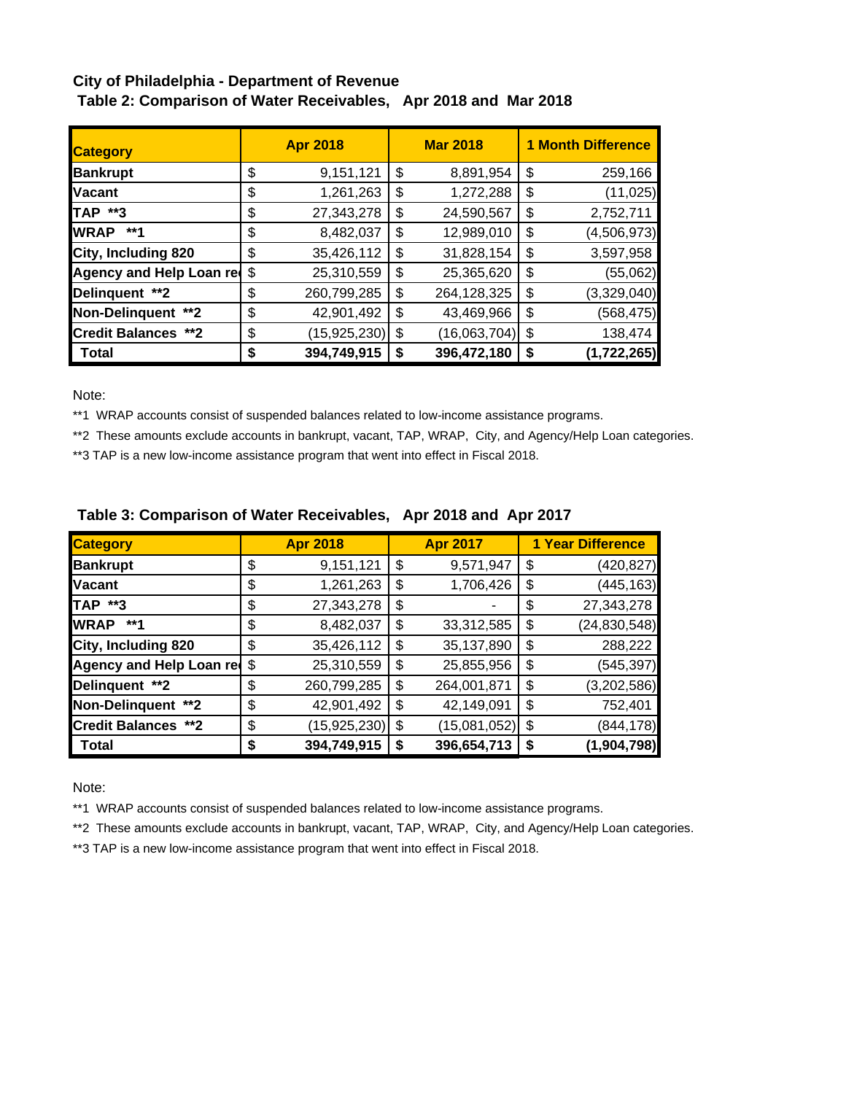# **City of Philadelphia - Department of Revenue Table 2: Comparison of Water Receivables, Apr 2018 and Mar 2018**

| <b>Category</b>            | <b>Apr 2018</b>      |    | <b>Mar 2018</b> | <b>1 Month Difference</b> |             |  |  |
|----------------------------|----------------------|----|-----------------|---------------------------|-------------|--|--|
| <b>Bankrupt</b>            | \$<br>9,151,121      | \$ | 8,891,954       | \$                        | 259,166     |  |  |
| <b>Vacant</b>              | \$<br>1,261,263      | \$ | 1,272,288       | \$                        | (11, 025)   |  |  |
| TAP **3                    | \$<br>27,343,278     | \$ | 24,590,567      | \$                        | 2,752,711   |  |  |
| <b>WRAP</b><br>**1         | \$<br>8,482,037      | \$ | 12,989,010      | \$                        | (4,506,973) |  |  |
| City, Including 820        | \$<br>35,426,112     | \$ | 31,828,154      | \$                        | 3,597,958   |  |  |
| Agency and Help Loan red   | \$<br>25,310,559     | \$ | 25,365,620      | \$                        | (55,062)    |  |  |
| Delinquent **2             | \$<br>260,799,285    | \$ | 264,128,325     | \$                        | (3,329,040) |  |  |
| Non-Delinquent **2         | \$<br>42,901,492     | \$ | 43,469,966      | \$                        | (568, 475)  |  |  |
| <b>Credit Balances **2</b> | \$<br>(15, 925, 230) | \$ | (16,063,704)    | \$                        | 138,474     |  |  |
| Total                      | \$<br>394,749,915    | S  | 396,472,180     | \$                        | (1,722,265) |  |  |

Note:

\*\*1 WRAP accounts consist of suspended balances related to low-income assistance programs.

\*\*2 These amounts exclude accounts in bankrupt, vacant, TAP, WRAP, City, and Agency/Help Loan categories.

\*\*3 TAP is a new low-income assistance program that went into effect in Fiscal 2018.

| <b>Category</b>             |    | <b>Apr 2018</b> | <b>Apr 2017</b>    | <b>1 Year Difference</b> |                |  |
|-----------------------------|----|-----------------|--------------------|--------------------------|----------------|--|
| <b>Bankrupt</b>             | \$ | 9,151,121       | \$<br>9,571,947    | \$                       | (420,827)      |  |
| <b>Vacant</b>               | \$ | 1,261,263       | \$<br>1,706,426    | \$                       | (445, 163)     |  |
| <b>TAP **3</b>              | \$ | 27,343,278      | \$                 | \$                       | 27,343,278     |  |
| <b>WRAP</b><br>**1          | \$ | 8,482,037       | \$<br>33,312,585   | \$                       | (24, 830, 548) |  |
| City, Including 820         | \$ | 35,426,112      | \$<br>35,137,890   | \$                       | 288,222        |  |
| Agency and Help Loan red \$ |    | 25,310,559      | \$<br>25,855,956   | \$                       | (545,397)      |  |
| Delinquent **2              | \$ | 260,799,285     | \$<br>264,001,871  | \$                       | (3,202,586)    |  |
| Non-Delinquent **2          | \$ | 42,901,492      | \$<br>42,149,091   | \$                       | 752,401        |  |
| <b>Credit Balances **2</b>  | \$ | (15, 925, 230)  | \$<br>(15,081,052) | \$                       | (844, 178)     |  |
| <b>Total</b>                | S  | 394,749,915     | \$<br>396,654,713  | \$                       | (1,904,798)    |  |

# **Table 3: Comparison of Water Receivables, Apr 2018 and Apr 2017**

Note:

\*\*1 WRAP accounts consist of suspended balances related to low-income assistance programs.

\*\*2 These amounts exclude accounts in bankrupt, vacant, TAP, WRAP, City, and Agency/Help Loan categories.

\*\*3 TAP is a new low-income assistance program that went into effect in Fiscal 2018.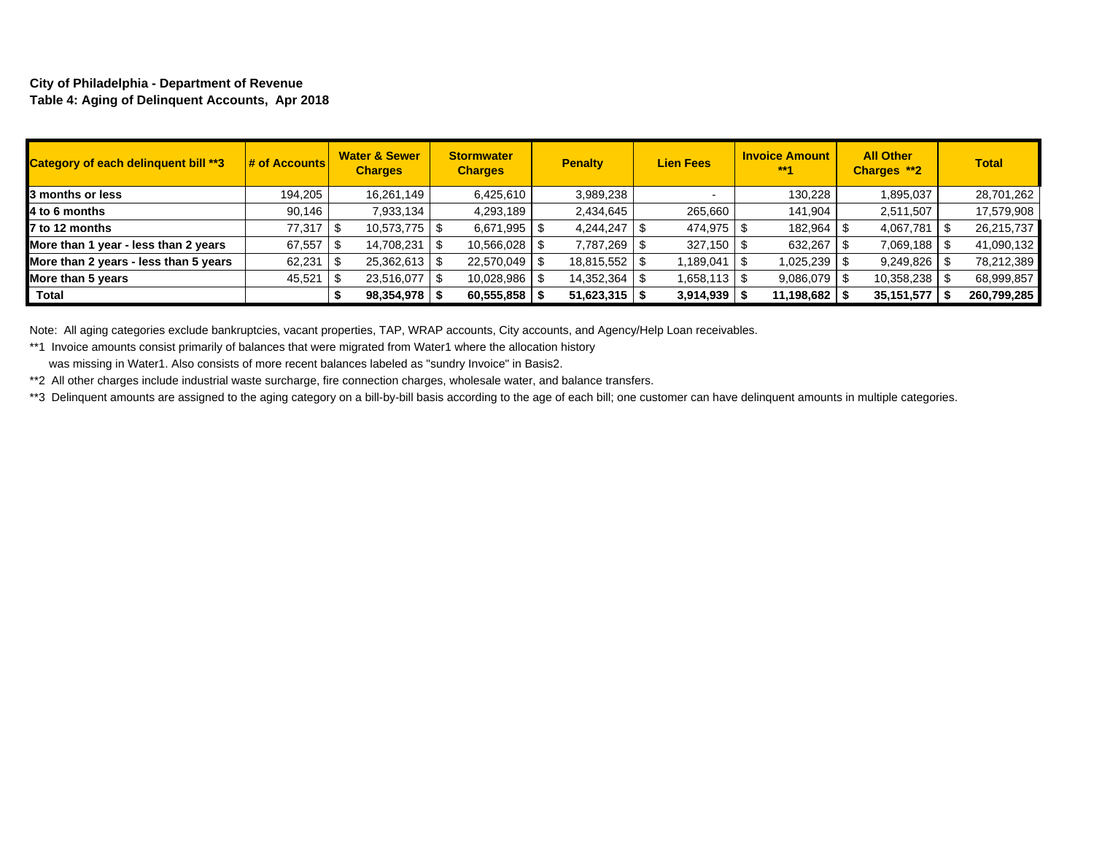#### **City of Philadelphia - Department of Revenue Table 4: Aging of Delinquent Accounts, Apr 2018**

| Category of each delinquent bill **3  | $\frac{1}{4}$ of Accounts | <b>Water &amp; Sewer</b><br><b>Charges</b> | <b>Stormwater</b><br><b>Charges</b> | <b>Penalty</b>  | <b>Lien Fees</b> | <b>Invoice Amount</b><br>$***1$ | <b>All Other</b><br>Charges **2 | <b>Total</b> |
|---------------------------------------|---------------------------|--------------------------------------------|-------------------------------------|-----------------|------------------|---------------------------------|---------------------------------|--------------|
| 3 months or less                      | 194,205                   | 16,261,149                                 | 6,425,610                           | 3,989,238       |                  | 130,228                         | 1,895,037                       | 28,701,262   |
| 4 to 6 months                         | 90,146                    | 7,933,134                                  | 4,293,189                           | 2,434,645       | 265,660          | 141,904                         | 2,511,507                       | 17,579,908   |
| 7 to 12 months                        | 77.317                    | $10,573,775$ \$                            | 6,671,995                           | 4,244,247       | 474,975          | 182,964                         | 4,067,781                       | 26,215,737   |
| More than 1 year - less than 2 years  | 67,557                    | 14,708,231                                 | 10,566,028                          | 7,787,269       | 327,150          | 632,267                         | 7,069,188                       | 41,090,132   |
| More than 2 years - less than 5 years | 62,231                    | $25,362,613$ \\$                           | 22,570,049                          | 18,815,552   \$ | ,189,041         | 1,025,239 S                     | $9,249,826$ \ \ \$              | 78,212,389   |
| More than 5 years                     | 45,521                    | 23,516,077                                 | 10,028,986                          | 14,352,364      | 1,658,113 S      | $9,086,079$ \ \ \$              | $10,358,238$ \ \ \$             | 68,999,857   |
| Total                                 |                           | 98,354,978                                 | 60,555,858                          | 51,623,315      | 3,914,939        | 11,198,682                      | 35,151,577                      | 260,799,285  |

Note: All aging categories exclude bankruptcies, vacant properties, TAP, WRAP accounts, City accounts, and Agency/Help Loan receivables.

\*\*1 Invoice amounts consist primarily of balances that were migrated from Water1 where the allocation history

was missing in Water1. Also consists of more recent balances labeled as "sundry Invoice" in Basis2.

\*\*2 All other charges include industrial waste surcharge, fire connection charges, wholesale water, and balance transfers.

\*\*3 Delinquent amounts are assigned to the aging category on a bill-by-bill basis according to the age of each bill; one customer can have delinquent amounts in multiple categories.